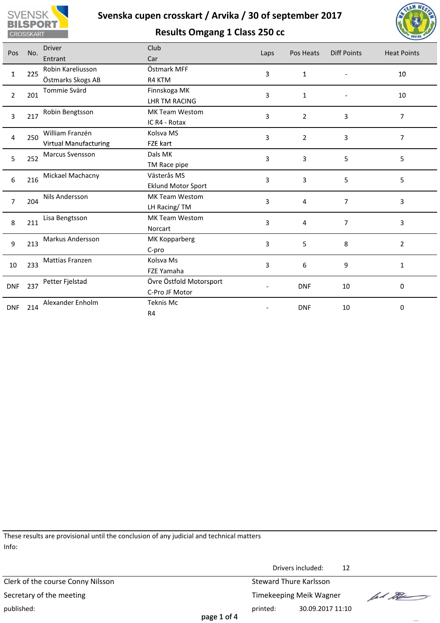





| Pos                   | No. | <b>Driver</b>                 | Club                      | Laps | Pos Heats               | <b>Diff Points</b> | <b>Heat Points</b> |  |
|-----------------------|-----|-------------------------------|---------------------------|------|-------------------------|--------------------|--------------------|--|
|                       |     | Entrant                       | Car                       |      |                         |                    |                    |  |
| $\mathbf{1}$          | 225 | Robin Kareliusson             | Östmark MFF               | 3    | $\mathbf 1$             | $\overline{a}$     | $10\,$             |  |
|                       |     | Östmarks Skogs AB             | R4 KTM                    |      |                         |                    |                    |  |
| $\overline{2}$        | 201 | Tommie Svärd                  | Finnskoga MK              | 3    | $\mathbf{1}$            |                    | 10                 |  |
|                       |     |                               | <b>LHR TM RACING</b>      |      |                         |                    |                    |  |
| $\overline{3}$        | 217 | Robin Bengtsson               | MK Team Westom            | 3    | $\overline{2}$          | 3                  | $\overline{7}$     |  |
|                       |     |                               | IC R4 - Rotax             |      |                         |                    |                    |  |
| $\overline{4}$        | 250 | William Franzén               | Kolsva MS                 | 3    | $\overline{2}$          | 3                  | $\overline{7}$     |  |
|                       |     | <b>Virtual Manufacturing</b>  | FZE kart                  |      |                         |                    |                    |  |
| 5                     | 252 | Marcus Svensson               | Dals MK                   | 3    | $\mathbf{3}$            | 5                  | 5                  |  |
|                       |     |                               | TM Race pipe              |      |                         |                    |                    |  |
| $6\,$                 | 216 | Mickael Machacny              | Västerås MS               | 3    | 3                       | 5                  | 5                  |  |
|                       |     |                               | <b>Eklund Motor Sport</b> |      |                         |                    |                    |  |
| 204<br>$\overline{7}$ |     | Nils Andersson                | MK Team Westom            | 3    | $\overline{4}$          | $\overline{7}$     | 3                  |  |
|                       |     |                               | LH Racing/TM              |      |                         |                    |                    |  |
| $\,8\,$               | 211 | Lisa Bengtsson                | MK Team Westom            | 3    | $\overline{\mathbf{4}}$ | $\overline{7}$     | 3                  |  |
|                       |     |                               | Norcart                   |      |                         |                    |                    |  |
| $\overline{9}$        | 213 | Markus Andersson              | MK Kopparberg             | 3    | 5                       | 8                  | $\overline{2}$     |  |
|                       |     |                               | C-pro                     |      |                         |                    |                    |  |
| 10                    | 233 | Mattias Franzen               | Kolsva Ms                 | 3    | 6                       | 9                  | $\mathbf{1}$       |  |
|                       |     |                               | FZE Yamaha                |      |                         |                    |                    |  |
| <b>DNF</b>            | 237 | Petter Fjelstad               | Övre Östfold Motorsport   |      | <b>DNF</b>              | 10                 | $\mathbf 0$        |  |
|                       |     |                               | C-Pro JF Motor            |      |                         |                    |                    |  |
| <b>DNF</b>            | 214 | Alexander Enholm<br>Teknis Mc |                           |      | <b>DNF</b>              | 10                 | $\mathbf 0$        |  |
|                       |     |                               | R4                        |      |                         |                    |                    |  |
|                       |     |                               |                           |      |                         |                    |                    |  |
|                       |     |                               |                           |      |                         |                    |                    |  |
|                       |     |                               |                           |      |                         |                    |                    |  |
|                       |     |                               |                           |      |                         |                    |                    |  |
|                       |     |                               |                           |      |                         |                    |                    |  |

These results are provisional until the conclusion of any judicial and technical matters Info:

Drivers included: 12 Clerk of the course Conny Nilsson Steward Thure Karlsson lad the Secretary of the meeting Secretary of the meeting Timekeeping Meik Wagner published: 30.09.2017 11:10 page 1 of 4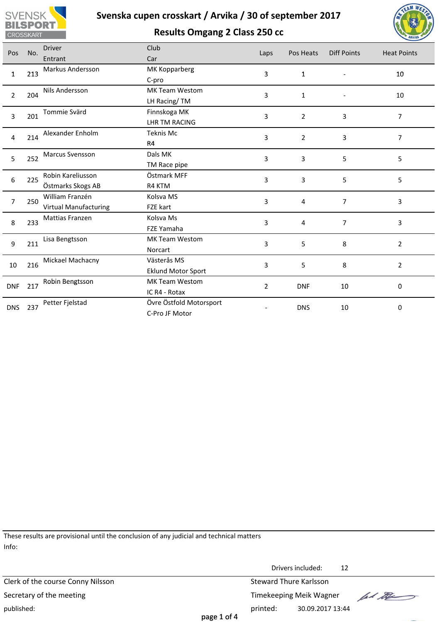

**Results Omgang 2 Class 250 cc**



| Pos              | No. | <b>Driver</b>         | Club                      | Laps           | Pos Heats      | <b>Diff Points</b> | <b>Heat Points</b>  |  |
|------------------|-----|-----------------------|---------------------------|----------------|----------------|--------------------|---------------------|--|
|                  |     | Entrant               | Car                       |                |                |                    |                     |  |
| $\mathbf{1}$     | 213 | Markus Andersson      | MK Kopparberg             | 3              |                |                    | 10                  |  |
|                  |     |                       | C-pro                     |                | $\mathbf{1}$   |                    |                     |  |
| $\overline{2}$   | 204 | Nils Andersson        | MK Team Westom            | 3              |                |                    | 10                  |  |
|                  |     |                       | LH Racing/TM              |                | $\mathbf{1}$   |                    |                     |  |
| $\overline{3}$   | 201 | Tommie Svärd          | Finnskoga MK              | 3              | $\overline{2}$ | 3                  | $\overline{7}$      |  |
|                  |     |                       | LHR TM RACING             |                |                |                    |                     |  |
| $\overline{4}$   | 214 | Alexander Enholm      | Teknis Mc                 | 3              | $\overline{2}$ | 3                  | $\overline{7}$      |  |
|                  |     |                       | R4                        |                |                |                    |                     |  |
| 5                | 252 | Marcus Svensson       | Dals MK                   | 3              | 3              | 5                  | 5                   |  |
|                  |     |                       | TM Race pipe              |                |                |                    |                     |  |
| $\boldsymbol{6}$ | 225 | Robin Kareliusson     | Östmark MFF               | 3              | 3              | 5                  | 5                   |  |
|                  |     | Östmarks Skogs AB     | R4 KTM                    |                |                |                    |                     |  |
| $\overline{7}$   | 250 | William Franzén       | Kolsva MS                 | 3              | $\overline{4}$ | $\overline{7}$     | 3                   |  |
|                  |     | Virtual Manufacturing | FZE kart                  |                |                |                    |                     |  |
| $\,8\,$          | 233 | Mattias Franzen       | Kolsva Ms                 | 3              | $\overline{4}$ | $\overline{7}$     | 3                   |  |
|                  |     |                       | FZE Yamaha                |                |                |                    |                     |  |
| $\overline{9}$   | 211 | Lisa Bengtsson        | MK Team Westom            | $\overline{3}$ | 5              | 8                  | $\overline{2}$      |  |
|                  |     |                       | Norcart                   |                |                |                    |                     |  |
| 10               | 216 | Mickael Machacny      | Västerås MS               | 3              | 5              | 8                  |                     |  |
|                  |     |                       | <b>Eklund Motor Sport</b> |                |                |                    | $\overline{2}$      |  |
| <b>DNF</b>       | 217 | Robin Bengtsson       | MK Team Westom            | $\overline{2}$ | <b>DNF</b>     | 10                 | $\mathsf{O}\xspace$ |  |
|                  |     |                       | IC R4 - Rotax             |                |                |                    |                     |  |
|                  | 237 | Petter Fjelstad       | Övre Östfold Motorsport   |                |                |                    |                     |  |
| <b>DNS</b>       |     |                       | C-Pro JF Motor            |                | <b>DNS</b>     | 10                 | $\mathbf 0$         |  |
|                  |     |                       |                           |                |                |                    |                     |  |
|                  |     |                       |                           |                |                |                    |                     |  |
|                  |     |                       |                           |                |                |                    |                     |  |
|                  |     |                       |                           |                |                |                    |                     |  |
|                  |     |                       |                           |                |                |                    |                     |  |

These results are provisional until the conclusion of any judicial and technical matters Info:

Drivers included: 12 Clerk of the course Conny Nilsson Steward Thure Karlsson lad the Secretary of the meeting Secretary of the meeting Timekeeping Meik Wagner published: printed: 30.09.2017 13:44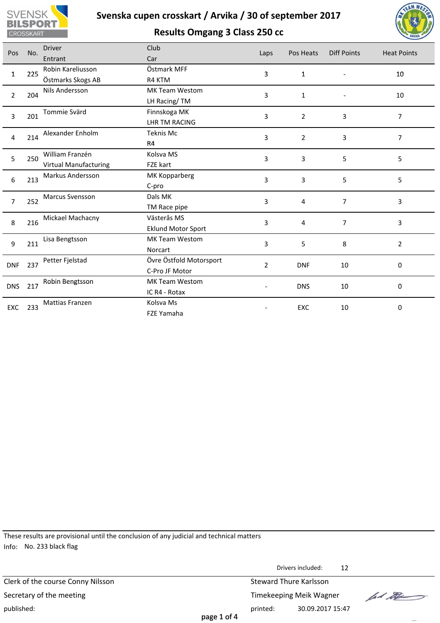

**Results Omgang 3 Class 250 cc**



| Pos            | No. | <b>Driver</b>                | Club                      | Laps           | Pos Heats      | <b>Diff Points</b> | <b>Heat Points</b> |
|----------------|-----|------------------------------|---------------------------|----------------|----------------|--------------------|--------------------|
|                |     | Entrant                      | Car                       |                |                |                    |                    |
| $\mathbf{1}$   | 225 | Robin Kareliusson            | Östmark MFF               | 3              | $\mathbf{1}$   |                    | 10                 |
|                |     | Östmarks Skogs AB            | R4 KTM                    |                |                |                    |                    |
| $\overline{2}$ | 204 | Nils Andersson               | MK Team Westom            | 3              | $\mathbf{1}$   |                    | 10                 |
|                |     |                              | LH Racing/TM              |                |                |                    |                    |
| 3              | 201 | Tommie Svärd                 | Finnskoga MK              | 3              | $\overline{2}$ | $\overline{3}$     | $\overline{7}$     |
|                |     |                              | <b>LHR TM RACING</b>      |                |                |                    |                    |
| 4              |     | Alexander Enholm             | Teknis Mc                 | 3              | $\overline{2}$ | $\mathbf{3}$       | $\overline{7}$     |
|                | 214 |                              | R4                        |                |                |                    |                    |
|                | 250 | William Franzén              | Kolsva MS                 | 3              | 3              | 5                  | 5                  |
| 5              |     | <b>Virtual Manufacturing</b> | FZE kart                  |                |                |                    |                    |
| 6              | 213 | Markus Andersson             | MK Kopparberg             |                |                |                    |                    |
|                |     |                              | C-pro                     | 3              | 3              | 5                  | 5                  |
| 7              | 252 | Marcus Svensson              | Dals MK                   |                |                | $\overline{7}$     |                    |
|                |     |                              | TM Race pipe              | 3              | 4              |                    | 3                  |
|                |     | Mickael Machacny             | Västerås MS               | 3              | 4              | $\overline{7}$     |                    |
| 8              | 216 |                              | <b>Eklund Motor Sport</b> |                |                |                    | 3                  |
|                |     | Lisa Bengtsson               | MK Team Westom            | 3<br>5         |                |                    |                    |
| 9              | 211 |                              | Norcart                   |                |                | 8                  | $\overline{2}$     |
|                |     | Petter Fjelstad              | Övre Östfold Motorsport   |                |                |                    |                    |
| <b>DNF</b>     | 237 |                              | C-Pro JF Motor            | $\overline{2}$ | <b>DNF</b>     | 10                 | $\pmb{0}$          |
|                |     | Robin Bengtsson              | MK Team Westom            |                |                |                    |                    |
| <b>DNS</b>     | 217 |                              | IC R4 - Rotax             |                | <b>DNS</b>     | 10                 | 0                  |
|                |     | Mattias Franzen              | Kolsva Ms                 |                |                |                    |                    |
| EXC            | 233 |                              | FZE Yamaha                |                | EXC            | 10                 | $\mathbf 0$        |
|                |     |                              |                           |                |                |                    |                    |
|                |     |                              |                           |                |                |                    |                    |
|                |     |                              |                           |                |                |                    |                    |
|                |     |                              |                           |                |                |                    |                    |
|                |     |                              |                           |                |                |                    |                    |

These results are provisional until the conclusion of any judicial and technical matters Info: No. 233 black flag

|                                   |             |                        | Drivers included:       | 12 |         |
|-----------------------------------|-------------|------------------------|-------------------------|----|---------|
| Clerk of the course Conny Nilsson |             | Steward Thure Karlsson |                         |    |         |
| Secretary of the meeting          |             |                        | Timekeeping Meik Wagner |    | lad the |
| published:                        | page 1 of 4 | printed:               | 30.09.2017 15:47        |    |         |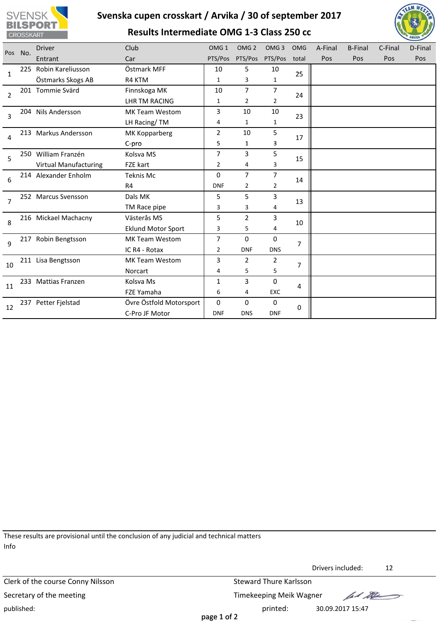





| Pos            | No. | <b>Driver</b>                | Club                      | OMG <sub>1</sub> | OMG <sub>2</sub> | OMG <sub>3</sub> | <b>OMG</b>     | A-Final | <b>B-Final</b> | C-Final | D-Final |
|----------------|-----|------------------------------|---------------------------|------------------|------------------|------------------|----------------|---------|----------------|---------|---------|
|                |     | Entrant                      | Car                       | PTS/Pos          | PTS/Pos          | PTS/Pos          | total          | Pos     | Pos            | Pos     | Pos     |
| 1              | 225 | Robin Kareliusson            | Östmark MFF               | 10               | 5                | 10               | 25             |         |                |         |         |
|                |     | Östmarks Skogs AB            | R4 KTM                    | $\mathbf{1}$     | 3                | 1                |                |         |                |         |         |
| $\overline{2}$ |     | 201 Tommie Svärd             | Finnskoga MK              | 10               | $\overline{7}$   | 7                | 24             |         |                |         |         |
|                |     |                              | <b>LHR TM RACING</b>      | 1                | $\overline{2}$   | 2                |                |         |                |         |         |
| 3              |     | 204 Nils Andersson           | <b>MK Team Westom</b>     | 3                | 10               | 10               | 23             |         |                |         |         |
|                |     |                              | LH Racing/TM              | 4                | 1                | 1                |                |         |                |         |         |
|                |     | 213 Markus Andersson         | MK Kopparberg             | $\overline{2}$   | 10               | 5                |                |         |                |         |         |
| 4              |     |                              | C-pro                     | 5                | $\mathbf{1}$     | 3                | 17             |         |                |         |         |
| 5              |     | 250 William Franzén          | Kolsva MS                 | 7                | 3                | 5                | 15             |         |                |         |         |
|                |     | <b>Virtual Manufacturing</b> | FZE kart                  | 2                | 4                | 3                |                |         |                |         |         |
|                |     | 214 Alexander Enholm         | <b>Teknis Mc</b>          | 0                | $\overline{7}$   | 7                |                |         |                |         |         |
| 6              |     |                              | R <sub>4</sub>            | <b>DNF</b>       | $\overline{2}$   | 2                | 14             |         |                |         |         |
| $\overline{7}$ |     | 252 Marcus Svensson          | Dals MK                   | 5                | 5                | 3                |                |         |                |         |         |
|                |     |                              | TM Race pipe              | 3                | 3                | 4                | 13             |         |                |         |         |
| 8              |     | 216 Mickael Machacny         | Västerås MS               | 5                | $\overline{2}$   | 3                |                |         |                |         |         |
|                |     |                              | <b>Eklund Motor Sport</b> | 3                | 5                | 4                | 10             |         |                |         |         |
| $\mathsf{q}$   |     | 217 Robin Bengtsson          | <b>MK Team Westom</b>     | 7                | 0                | 0                |                |         |                |         |         |
|                |     |                              | IC R4 - Rotax             | 2                | <b>DNF</b>       | <b>DNS</b>       | $\overline{7}$ |         |                |         |         |
|                |     | 211 Lisa Bengtsson           | <b>MK Team Westom</b>     | 3                | $\overline{2}$   | 2                | $\overline{7}$ |         |                |         |         |
| 10             |     |                              | Norcart                   | 4                | 5                | 5                |                |         |                |         |         |
|                |     | 233 Mattias Franzen          | Kolsva Ms                 | 1                | 3                | 0                |                |         |                |         |         |
| 11             |     |                              | FZE Yamaha                | 6                | 4                | EXC              | 4              |         |                |         |         |
|                |     | 237 Petter Fjelstad          | Övre Östfold Motorsport   | 0                | $\mathbf 0$      | 0                |                |         |                |         |         |
| 12             |     |                              | C-Pro JF Motor            | <b>DNF</b>       | <b>DNS</b>       | <b>DNF</b>       | 0              |         |                |         |         |
|                |     |                              |                           |                  |                  |                  |                |         |                |         |         |

These results are provisional until the conclusion of any judicial and technical matters Info

Clerk of the course Conny Nilsson Steward Thure Karlsson Secretary of the meeting Secretary of the meeting Timekeeping Meik Wagner published: printed: 30.09.2017 15:47

Drivers included: 12

lad the

page 1 of 2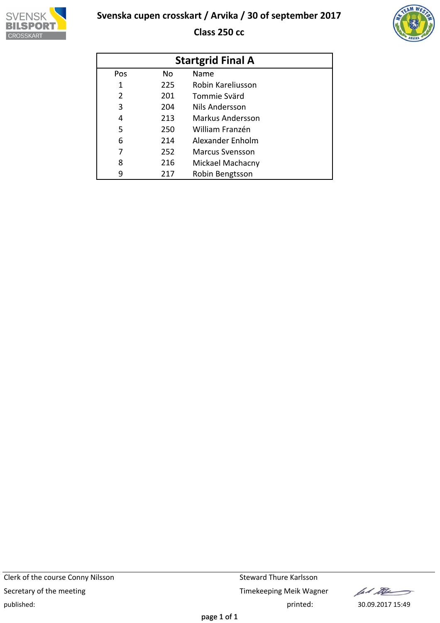

**Class 250 cc**



| <b>Startgrid Final A</b> |     |                        |  |  |  |  |  |  |
|--------------------------|-----|------------------------|--|--|--|--|--|--|
| Pos                      | No. | Name                   |  |  |  |  |  |  |
| 1                        | 225 | Robin Kareliusson      |  |  |  |  |  |  |
| $\overline{2}$           | 201 | Tommie Svärd           |  |  |  |  |  |  |
| 3                        | 204 | Nils Andersson         |  |  |  |  |  |  |
| 4                        | 213 | Markus Andersson       |  |  |  |  |  |  |
| 5                        | 250 | William Franzén        |  |  |  |  |  |  |
| 6                        | 214 | Alexander Enholm       |  |  |  |  |  |  |
| 7                        | 252 | <b>Marcus Svensson</b> |  |  |  |  |  |  |
| 8                        | 216 | Mickael Machacny       |  |  |  |  |  |  |
| 9                        | 217 | Robin Bengtsson        |  |  |  |  |  |  |

lad the  $\rightarrow$